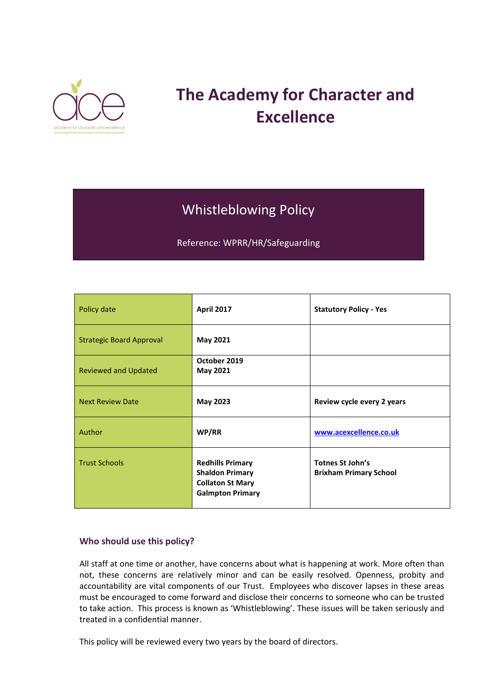

# **The Academy for Character and Excellence**

## Whistleblowing Policy

Reference: WPRR/HR/Safeguarding

| Policy date                     | <b>April 2017</b>                                                                                       | <b>Statutory Policy - Yes</b>                            |
|---------------------------------|---------------------------------------------------------------------------------------------------------|----------------------------------------------------------|
| <b>Strategic Board Approval</b> | May 2021                                                                                                |                                                          |
| <b>Reviewed and Updated</b>     | October 2019<br><b>May 2021</b>                                                                         |                                                          |
| <b>Next Review Date</b>         | May 2023                                                                                                | Review cycle every 2 years                               |
| Author                          | WP/RR                                                                                                   | www.acexcellence.co.uk                                   |
| <b>Trust Schools</b>            | <b>Redhills Primary</b><br><b>Shaldon Primary</b><br><b>Collaton St Mary</b><br><b>Galmpton Primary</b> | <b>Totnes St John's</b><br><b>Brixham Primary School</b> |

#### **Who should use this policy?**

All staff at one time or another, have concerns about what is happening at work. More often than not, these concerns are relatively minor and can be easily resolved. Openness, probity and accountability are vital components of our Trust. Employees who discover lapses in these areas must be encouraged to come forward and disclose their concerns to someone who can be trusted to take action. This process is known as 'Whistleblowing'. These issues will be taken seriously and treated in a confidential manner.

This policy will be reviewed every two years by the board of directors.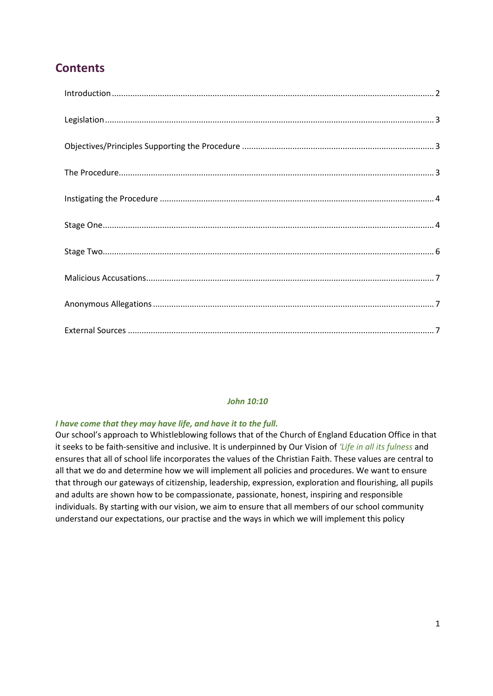### **Contents**

#### *John 10:10*

#### *I have come that they may have life, and have it to the full.*

Our school's approach to Whistleblowing follows that of the Church of England Education Office in that it seeks to be faith-sensitive and inclusive. It is underpinned by Our Vision of *'Life in all its fulness* and ensures that all of school life incorporates the values of the Christian Faith. These values are central to all that we do and determine how we will implement all policies and procedures. We want to ensure that through our gateways of citizenship, leadership, expression, exploration and flourishing, all pupils and adults are shown how to be compassionate, passionate, honest, inspiring and responsible individuals. By starting with our vision, we aim to ensure that all members of our school community understand our expectations, our practise and the ways in which we will implement this policy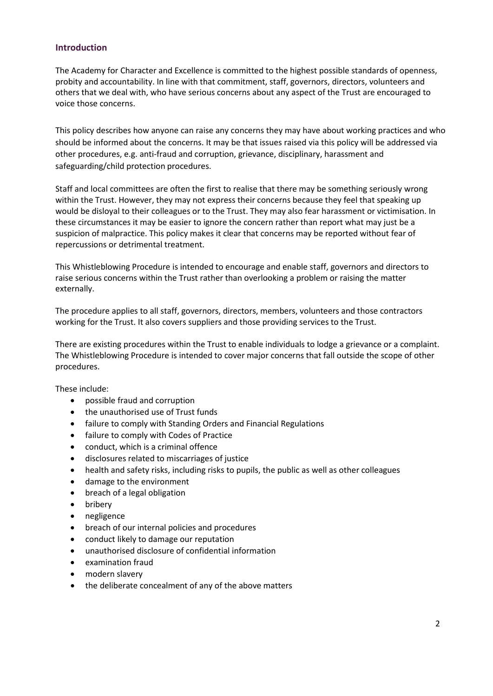#### <span id="page-2-0"></span>**Introduction**

The Academy for Character and Excellence is committed to the highest possible standards of openness, probity and accountability. In line with that commitment, staff, governors, directors, volunteers and others that we deal with, who have serious concerns about any aspect of the Trust are encouraged to voice those concerns.

This policy describes how anyone can raise any concerns they may have about working practices and who should be informed about the concerns. It may be that issues raised via this policy will be addressed via other procedures, e.g. anti-fraud and corruption, grievance, disciplinary, harassment and safeguarding/child protection procedures.

Staff and local committees are often the first to realise that there may be something seriously wrong within the Trust. However, they may not express their concerns because they feel that speaking up would be disloyal to their colleagues or to the Trust. They may also fear harassment or victimisation. In these circumstances it may be easier to ignore the concern rather than report what may just be a suspicion of malpractice. This policy makes it clear that concerns may be reported without fear of repercussions or detrimental treatment.

This Whistleblowing Procedure is intended to encourage and enable staff, governors and directors to raise serious concerns within the Trust rather than overlooking a problem or raising the matter externally.

The procedure applies to all staff, governors, directors, members, volunteers and those contractors working for the Trust. It also covers suppliers and those providing services to the Trust.

There are existing procedures within the Trust to enable individuals to lodge a grievance or a complaint. The Whistleblowing Procedure is intended to cover major concerns that fall outside the scope of other procedures.

These include:

- possible fraud and corruption
- the unauthorised use of Trust funds
- failure to comply with Standing Orders and Financial Regulations
- failure to comply with Codes of Practice
- conduct, which is a criminal offence
- disclosures related to miscarriages of justice
- health and safety risks, including risks to pupils, the public as well as other colleagues
- damage to the environment
- breach of a legal obligation
- bribery
- negligence
- breach of our internal policies and procedures
- conduct likely to damage our reputation
- unauthorised disclosure of confidential information
- examination fraud
- modern slavery
- the deliberate concealment of any of the above matters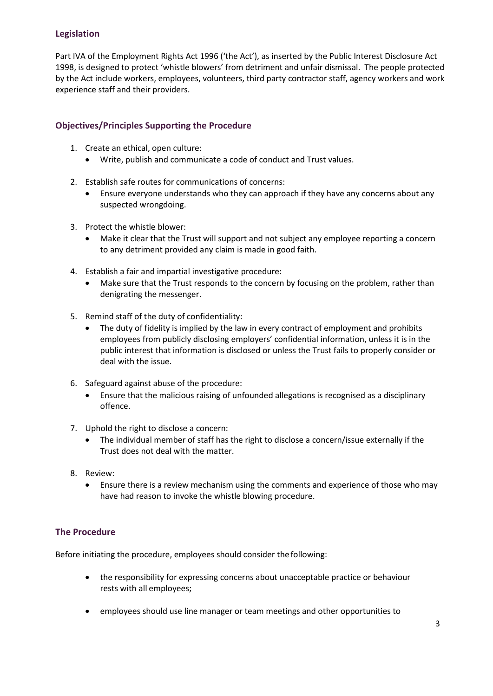#### <span id="page-3-0"></span>**Legislation**

Part IVA of the Employment Rights Act 1996 ('the Act'), as inserted by the Public Interest Disclosure Act 1998, is designed to protect 'whistle blowers' from detriment and unfair dismissal. The people protected by the Act include workers, employees, volunteers, third party contractor staff, agency workers and work experience staff and their providers.

#### <span id="page-3-1"></span>**Objectives/Principles Supporting the Procedure**

- 1. Create an ethical, open culture:
	- Write, publish and communicate a code of conduct and Trust values.
- 2. Establish safe routes for communications of concerns:
	- Ensure everyone understands who they can approach if they have any concerns about any suspected wrongdoing.
- 3. Protect the whistle blower:
	- Make it clear that the Trust will support and not subject any employee reporting a concern to any detriment provided any claim is made in good faith.
- 4. Establish a fair and impartial investigative procedure:
	- Make sure that the Trust responds to the concern by focusing on the problem, rather than denigrating the messenger.
- 5. Remind staff of the duty of confidentiality:
	- The duty of fidelity is implied by the law in every contract of employment and prohibits employees from publicly disclosing employers' confidential information, unless it is in the public interest that information is disclosed or unless the Trust fails to properly consider or deal with the issue.
- 6. Safeguard against abuse of the procedure:
	- Ensure that the malicious raising of unfounded allegations is recognised as a disciplinary offence.
- 7. Uphold the right to disclose a concern:
	- The individual member of staff has the right to disclose a concern/issue externally if the Trust does not deal with the matter.
- 8. Review:
	- Ensure there is a review mechanism using the comments and experience of those who may have had reason to invoke the whistle blowing procedure.

#### <span id="page-3-2"></span>**The Procedure**

Before initiating the procedure, employees should consider thefollowing:

- the responsibility for expressing concerns about unacceptable practice or behaviour rests with all employees;
- employees should use line manager or team meetings and other opportunities to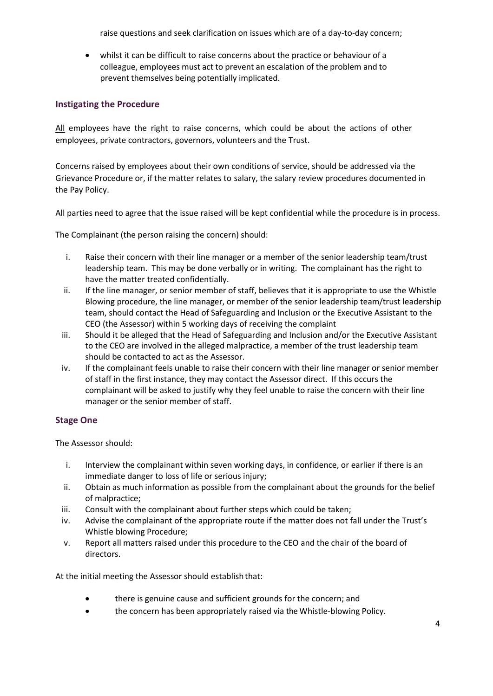raise questions and seek clarification on issues which are of a day-to-day concern;

• whilst it can be difficult to raise concerns about the practice or behaviour of a colleague, employees must act to prevent an escalation of the problem and to prevent themselves being potentially implicated.

#### <span id="page-4-0"></span>**Instigating the Procedure**

All employees have the right to raise concerns, which could be about the actions of other employees, private contractors, governors, volunteers and the Trust.

Concerns raised by employees about their own conditions of service, should be addressed via the Grievance Procedure or, if the matter relates to salary, the salary review procedures documented in the Pay Policy.

All parties need to agree that the issue raised will be kept confidential while the procedure is in process.

The Complainant (the person raising the concern) should:

- i. Raise their concern with their line manager or a member of the senior leadership team/trust leadership team. This may be done verbally or in writing. The complainant has the right to have the matter treated confidentially.
- ii. If the line manager, or senior member of staff, believes that it is appropriate to use the Whistle Blowing procedure, the line manager, or member of the senior leadership team/trust leadership team, should contact the Head of Safeguarding and Inclusion or the Executive Assistant to the CEO (the Assessor) within 5 working days of receiving the complaint
- iii. Should it be alleged that the Head of Safeguarding and Inclusion and/or the Executive Assistant to the CEO are involved in the alleged malpractice, a member of the trust leadership team should be contacted to act as the Assessor.
- iv. If the complainant feels unable to raise their concern with their line manager or senior member of staff in the first instance, they may contact the Assessor direct. If this occurs the complainant will be asked to justify why they feel unable to raise the concern with their line manager or the senior member of staff.

#### <span id="page-4-1"></span>**Stage One**

The Assessor should:

- i. Interview the complainant within seven working days, in confidence, or earlier if there is an immediate danger to loss of life or serious injury;
- ii. Obtain as much information as possible from the complainant about the grounds for the belief of malpractice;
- iii. Consult with the complainant about further steps which could be taken;
- iv. Advise the complainant of the appropriate route if the matter does not fall under the Trust's Whistle blowing Procedure;
- v. Report all matters raised under this procedure to the CEO and the chair of the board of directors.

At the initial meeting the Assessor should establishthat:

- there is genuine cause and sufficient grounds for the concern; and
- the concern has been appropriately raised via the Whistle-blowing Policy.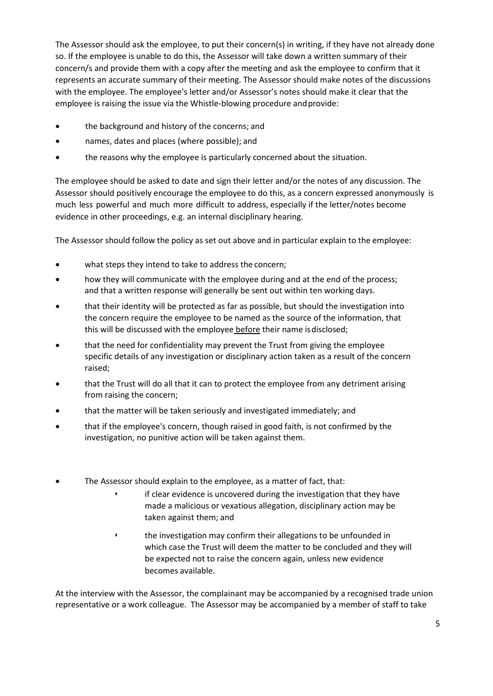The Assessor should ask the employee, to put their concern(s) in writing, if they have not already done so. If the employee is unable to do this, the Assessor will take down a written summary of their concern/s and provide them with a copy after the meeting and ask the employee to confirm that it represents an accurate summary of their meeting. The Assessor should make notes of the discussions with the employee. The employee's letter and/or Assessor's notes should make it clear that the employee is raising the issue via the Whistle-blowing procedure and provide:

- the background and history of the concerns; and
- names, dates and places (where possible); and
- the reasons why the employee is particularly concerned about the situation.

The employee should be asked to date and sign their letter and/or the notes of any discussion. The Assessor should positively encourage the employee to do this, as a concern expressed anonymously is much less powerful and much more difficult to address, especially if the letter/notes become evidence in other proceedings, e.g. an internal disciplinary hearing.

The Assessor should follow the policy as set out above and in particular explain to the employee:

- what steps they intend to take to address the concern;
- how they will communicate with the employee during and at the end of the process; and that a written response will generally be sent out within ten working days.
- that their identity will be protected as far as possible, but should the investigation into the concern require the employee to be named as the source of the information, that this will be discussed with the employee before their name is disclosed;
- that the need for confidentiality may prevent the Trust from giving the employee specific details of any investigation or disciplinary action taken as a result of the concern raised;
- that the Trust will do all that it can to protect the employee from any detriment arising from raising the concern;
- that the matter will be taken seriously and investigated immediately; and
- that if the employee's concern, though raised in good faith, is not confirmed by the investigation, no punitive action will be taken against them.
- The Assessor should explain to the employee, as a matter of fact, that:
	- if clear evidence is uncovered during the investigation that they have made a malicious or vexatious allegation, disciplinary action may be taken against them; and
	- the investigation may confirm their allegations to be unfounded in which case the Trust will deem the matter to be concluded and they will be expected not to raise the concern again, unless new evidence becomes available.

At the interview with the Assessor, the complainant may be accompanied by a recognised trade union representative or a work colleague. The Assessor may be accompanied by a member of staff to take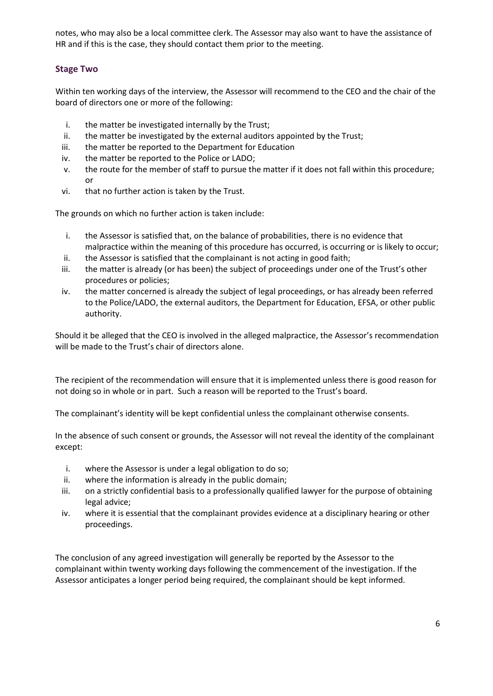notes, who may also be a local committee clerk. The Assessor may also want to have the assistance of HR and if this is the case, they should contact them prior to the meeting.

#### <span id="page-6-0"></span>**Stage Two**

Within ten working days of the interview, the Assessor will recommend to the CEO and the chair of the board of directors one or more of the following:

- i. the matter be investigated internally by the Trust;
- ii. the matter be investigated by the external auditors appointed by the Trust;
- iii. the matter be reported to the Department for Education
- iv. the matter be reported to the Police or LADO;
- v. the route for the member of staff to pursue the matter if it does not fall within this procedure; or
- vi. that no further action is taken by the Trust.

The grounds on which no further action is taken include:

- i. the Assessor is satisfied that, on the balance of probabilities, there is no evidence that malpractice within the meaning of this procedure has occurred, is occurring or is likely to occur;
- ii. the Assessor is satisfied that the complainant is not acting in good faith;
- iii. the matter is already (or has been) the subject of proceedings under one of the Trust's other procedures or policies;
- iv. the matter concerned is already the subject of legal proceedings, or has already been referred to the Police/LADO, the external auditors, the Department for Education, EFSA, or other public authority.

Should it be alleged that the CEO is involved in the alleged malpractice, the Assessor's recommendation will be made to the Trust's chair of directors alone.

The recipient of the recommendation will ensure that it is implemented unless there is good reason for not doing so in whole or in part. Such a reason will be reported to the Trust's board.

The complainant's identity will be kept confidential unless the complainant otherwise consents.

In the absence of such consent or grounds, the Assessor will not reveal the identity of the complainant except:

- i. where the Assessor is under a legal obligation to do so;
- ii. where the information is already in the public domain;
- iii. on a strictly confidential basis to a professionally qualified lawyer for the purpose of obtaining legal advice;
- iv. where it is essential that the complainant provides evidence at a disciplinary hearing or other proceedings.

The conclusion of any agreed investigation will generally be reported by the Assessor to the complainant within twenty working days following the commencement of the investigation. If the Assessor anticipates a longer period being required, the complainant should be kept informed.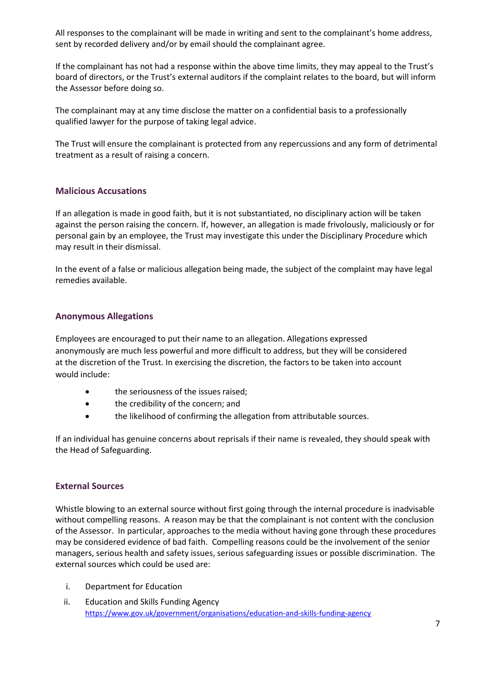All responses to the complainant will be made in writing and sent to the complainant's home address, sent by recorded delivery and/or by email should the complainant agree.

If the complainant has not had a response within the above time limits, they may appeal to the Trust's board of directors, or the Trust's external auditors if the complaint relates to the board, but will inform the Assessor before doing so.

The complainant may at any time disclose the matter on a confidential basis to a professionally qualified lawyer for the purpose of taking legal advice.

The Trust will ensure the complainant is protected from any repercussions and any form of detrimental treatment as a result of raising a concern.

#### <span id="page-7-0"></span>**Malicious Accusations**

If an allegation is made in good faith, but it is not substantiated, no disciplinary action will be taken against the person raising the concern. If, however, an allegation is made frivolously, maliciously or for personal gain by an employee, the Trust may investigate this under the Disciplinary Procedure which may result in their dismissal.

In the event of a false or malicious allegation being made, the subject of the complaint may have legal remedies available.

#### <span id="page-7-1"></span>**Anonymous Allegations**

Employees are encouraged to put their name to an allegation. Allegations expressed anonymously are much less powerful and more difficult to address, but they will be considered at the discretion of the Trust. In exercising the discretion, the factors to be taken into account would include:

- the seriousness of the issues raised;
- the credibility of the concern; and
- the likelihood of confirming the allegation from attributable sources.

If an individual has genuine concerns about reprisals if their name is revealed, they should speak with the Head of Safeguarding.

#### <span id="page-7-2"></span>**External Sources**

Whistle blowing to an external source without first going through the internal procedure is inadvisable without compelling reasons. A reason may be that the complainant is not content with the conclusion of the Assessor. In particular, approaches to the media without having gone through these procedures may be considered evidence of bad faith. Compelling reasons could be the involvement of the senior managers, serious health and safety issues, serious safeguarding issues or possible discrimination. The external sources which could be used are:

- i. Department for Education
- ii. Education and Skills Funding Agency <https://www.gov.uk/government/organisations/education-and-skills-funding-agency>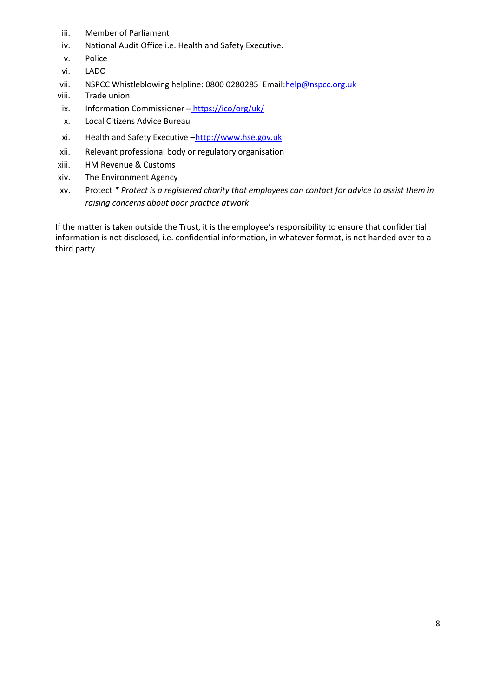- iii. Member of Parliament
- iv. National Audit Office i.e. Health and Safety Executive.
- v. Police
- vi. LADO
- vii. NSPCC Whistleblowing helpline: 0800 0280285 Email[:help@nspcc.org.uk](mailto:help@nspcc.org.uk)
- viii. Trade union
- ix. Information Commissioner <https://ico/org/uk/>
- x. Local Citizens Advice Bureau
- xi. Health and Safety Executive -http://www.hse.gov.uk
- xii. Relevant professional body or regulatory organisation
- xiii. HM Revenue & Customs
- xiv. The Environment Agency
- xv. Protect *\* Protect is a registered charity that employees can contact for advice to assist them in raising concerns about poor practice atwork*

If the matter is taken outside the Trust, it is the employee's responsibility to ensure that confidential information is not disclosed, i.e. confidential information, in whatever format, is not handed over to a third party.